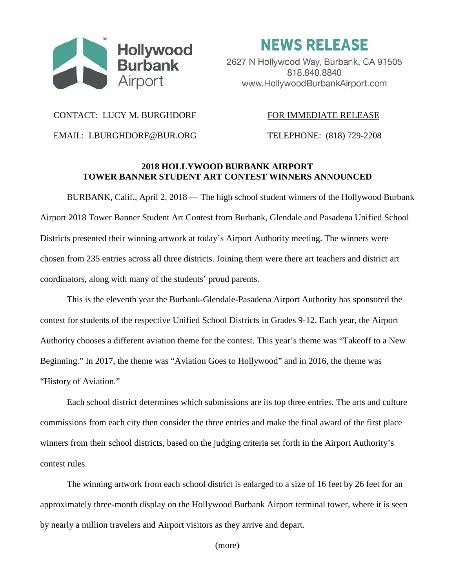

**NEWS RELEASE** 2627 N Hollywood Way, Burbank, CA 91505 818.840.8840 www.HollywoodBurbankAirport.com

#### CONTACT: LUCY M. BURGHDORF FOR IMMEDIATE RELEASE

EMAIL: LBURGHDORF@BUR.ORG TELEPHONE: (818) 729-2208

# **2018 HOLLYWOOD BURBANK AIRPORT TOWER BANNER STUDENT ART CONTEST WINNERS ANNOUNCED**

BURBANK, Calif., April 2, 2018 — The high school student winners of the Hollywood Burbank Airport 2018 Tower Banner Student Art Contest from Burbank, Glendale and Pasadena Unified School Districts presented their winning artwork at today's Airport Authority meeting. The winners were chosen from 235 entries across all three districts. Joining them were there art teachers and district art coordinators, along with many of the students' proud parents.

This is the eleventh year the Burbank-Glendale-Pasadena Airport Authority has sponsored the contest for students of the respective Unified School Districts in Grades 9-12. Each year, the Airport Authority chooses a different aviation theme for the contest. This year's theme was "Takeoff to a New Beginning." In 2017, the theme was "Aviation Goes to Hollywood" and in 2016, the theme was "History of Aviation."

Each school district determines which submissions are its top three entries. The arts and culture commissions from each city then consider the three entries and make the final award of the first place winners from their school districts, based on the judging criteria set forth in the Airport Authority's contest rules.

The winning artwork from each school district is enlarged to a size of 16 feet by 26 feet for an approximately three-month display on the Hollywood Burbank Airport terminal tower, where it is seen by nearly a million travelers and Airport visitors as they arrive and depart.

(more)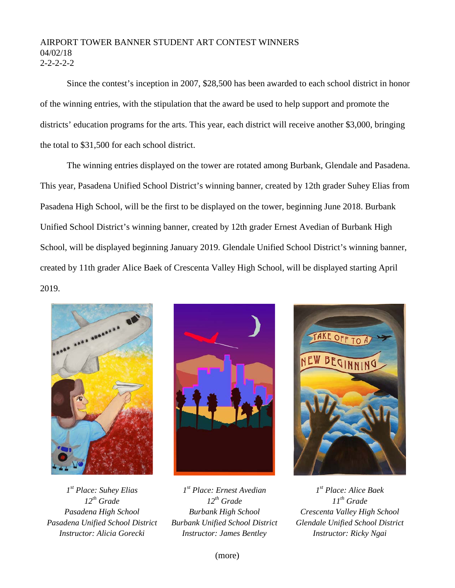## AIRPORT TOWER BANNER STUDENT ART CONTEST WINNERS 04/02/18  $2 - 2 - 2 - 2$

Since the contest's inception in 2007, \$28,500 has been awarded to each school district in honor of the winning entries, with the stipulation that the award be used to help support and promote the districts' education programs for the arts. This year, each district will receive another \$3,000, bringing the total to \$31,500 for each school district.

The winning entries displayed on the tower are rotated among Burbank, Glendale and Pasadena. This year, Pasadena Unified School District's winning banner, created by 12th grader Suhey Elias from Pasadena High School, will be the first to be displayed on the tower, beginning June 2018. Burbank Unified School District's winning banner, created by 12th grader Ernest Avedian of Burbank High School, will be displayed beginning January 2019. Glendale Unified School District's winning banner, created by 11th grader Alice Baek of Crescenta Valley High School, will be displayed starting April 2019.



*1st Place: Suhey Elias 12th Grade Pasadena High School Pasadena Unified School District Instructor: Alicia Gorecki*





*1st Place: Ernest Avedian 12th Grade Burbank High School Burbank Unified School District Instructor: James Bentley*

*1st Place: Alice Baek 11th Grade Crescenta Valley High School Glendale Unified School District Instructor: Ricky Ngai*